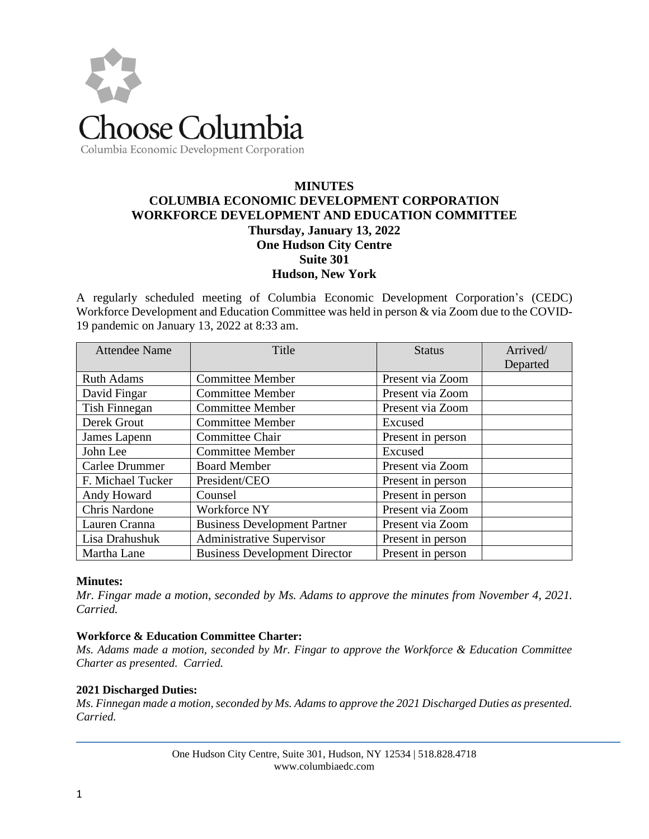

# **MINUTES COLUMBIA ECONOMIC DEVELOPMENT CORPORATION WORKFORCE DEVELOPMENT AND EDUCATION COMMITTEE Thursday, January 13, 2022 One Hudson City Centre Suite 301 Hudson, New York**

A regularly scheduled meeting of Columbia Economic Development Corporation's (CEDC) Workforce Development and Education Committee was held in person & via Zoom due to the COVID-19 pandemic on January 13, 2022 at 8:33 am.

| <b>Attendee Name</b> | Title                                | <b>Status</b>     | Arrived/ |
|----------------------|--------------------------------------|-------------------|----------|
|                      |                                      |                   | Departed |
| <b>Ruth Adams</b>    | <b>Committee Member</b>              | Present via Zoom  |          |
| David Fingar         | <b>Committee Member</b>              | Present via Zoom  |          |
| Tish Finnegan        | <b>Committee Member</b>              | Present via Zoom  |          |
| Derek Grout          | <b>Committee Member</b>              | Excused           |          |
| James Lapenn         | Committee Chair                      | Present in person |          |
| John Lee             | <b>Committee Member</b>              | Excused           |          |
| Carlee Drummer       | <b>Board Member</b>                  | Present via Zoom  |          |
| F. Michael Tucker    | President/CEO                        | Present in person |          |
| Andy Howard          | Counsel                              | Present in person |          |
| <b>Chris Nardone</b> | Workforce NY                         | Present via Zoom  |          |
| Lauren Cranna        | <b>Business Development Partner</b>  | Present via Zoom  |          |
| Lisa Drahushuk       | <b>Administrative Supervisor</b>     | Present in person |          |
| Martha Lane          | <b>Business Development Director</b> | Present in person |          |

#### **Minutes:**

*Mr. Fingar made a motion, seconded by Ms. Adams to approve the minutes from November 4, 2021. Carried.*

#### **Workforce & Education Committee Charter:**

*Ms. Adams made a motion, seconded by Mr. Fingar to approve the Workforce & Education Committee Charter as presented. Carried.* 

#### **2021 Discharged Duties:**

*Ms. Finnegan made a motion, seconded by Ms. Adams to approve the 2021 Discharged Duties as presented. Carried.*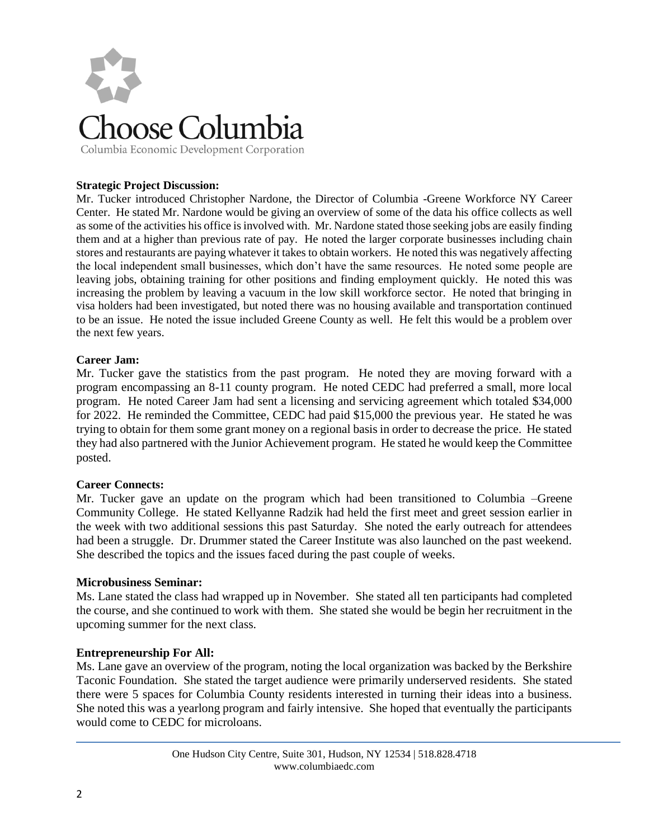

### **Strategic Project Discussion:**

Mr. Tucker introduced Christopher Nardone, the Director of Columbia -Greene Workforce NY Career Center. He stated Mr. Nardone would be giving an overview of some of the data his office collects as well as some of the activities his office is involved with. Mr. Nardone stated those seeking jobs are easily finding them and at a higher than previous rate of pay. He noted the larger corporate businesses including chain stores and restaurants are paying whatever it takes to obtain workers. He noted this was negatively affecting the local independent small businesses, which don't have the same resources. He noted some people are leaving jobs, obtaining training for other positions and finding employment quickly. He noted this was increasing the problem by leaving a vacuum in the low skill workforce sector. He noted that bringing in visa holders had been investigated, but noted there was no housing available and transportation continued to be an issue. He noted the issue included Greene County as well. He felt this would be a problem over the next few years.

#### **Career Jam:**

Mr. Tucker gave the statistics from the past program. He noted they are moving forward with a program encompassing an 8-11 county program. He noted CEDC had preferred a small, more local program. He noted Career Jam had sent a licensing and servicing agreement which totaled \$34,000 for 2022. He reminded the Committee, CEDC had paid \$15,000 the previous year. He stated he was trying to obtain for them some grant money on a regional basis in order to decrease the price. He stated they had also partnered with the Junior Achievement program. He stated he would keep the Committee posted.

#### **Career Connects:**

Mr. Tucker gave an update on the program which had been transitioned to Columbia –Greene Community College. He stated Kellyanne Radzik had held the first meet and greet session earlier in the week with two additional sessions this past Saturday. She noted the early outreach for attendees had been a struggle. Dr. Drummer stated the Career Institute was also launched on the past weekend. She described the topics and the issues faced during the past couple of weeks.

#### **Microbusiness Seminar:**

Ms. Lane stated the class had wrapped up in November. She stated all ten participants had completed the course, and she continued to work with them. She stated she would be begin her recruitment in the upcoming summer for the next class.

#### **Entrepreneurship For All:**

Ms. Lane gave an overview of the program, noting the local organization was backed by the Berkshire Taconic Foundation. She stated the target audience were primarily underserved residents. She stated there were 5 spaces for Columbia County residents interested in turning their ideas into a business. She noted this was a yearlong program and fairly intensive. She hoped that eventually the participants would come to CEDC for microloans.